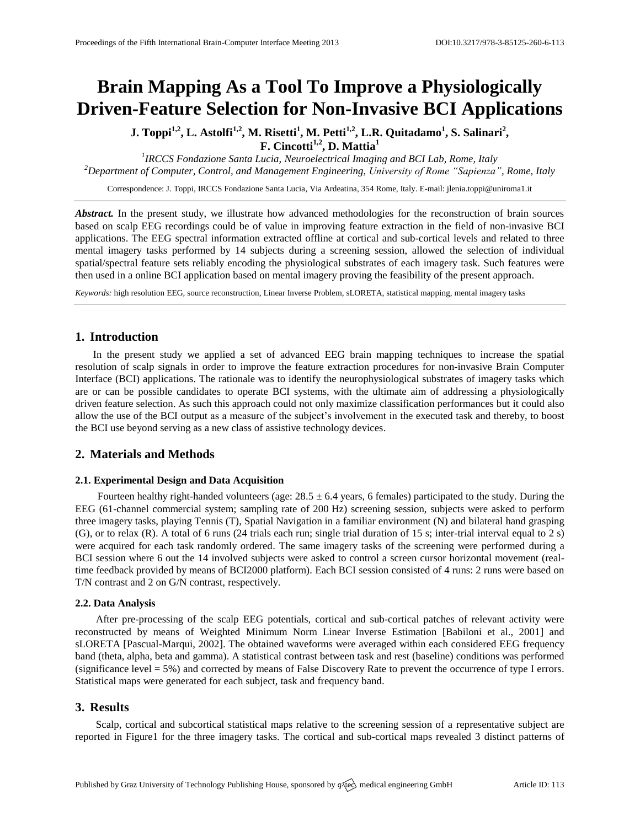# **Brain Mapping As a Tool To Improve a Physiologically Driven-Feature Selection for Non-Invasive BCI Applications**

**J. Toppi<sup>1,2</sup>, L. Astolfi<sup>1,2</sup>, M. Risetti<sup>1</sup>, M. Petti<sup>1,2</sup>, L.R. Quitadamo<sup>1</sup>, S. Salinari<sup>2</sup>, F. Cincotti1,2 , D. Mattia<sup>1</sup>**

*1 IRCCS Fondazione Santa Lucia, Neuroelectrical Imaging and BCI Lab, Rome, Italy <sup>2</sup>Department of Computer, Control, and Management Engineering, University of Rome "Sapienza", Rome, Italy*

Correspondence: J. Toppi, IRCCS Fondazione Santa Lucia, Via Ardeatina, 354 Rome, Italy. E-mail[: jlenia.toppi@uniroma1.it](mailto:jlenia.toppi@uniroma1.it)

*Abstract.* In the present study, we illustrate how advanced methodologies for the reconstruction of brain sources based on scalp EEG recordings could be of value in improving feature extraction in the field of non-invasive BCI applications. The EEG spectral information extracted offline at cortical and sub-cortical levels and related to three mental imagery tasks performed by 14 subjects during a screening session, allowed the selection of individual spatial/spectral feature sets reliably encoding the physiological substrates of each imagery task. Such features were then used in a online BCI application based on mental imagery proving the feasibility of the present approach.

*Keywords:* high resolution EEG, source reconstruction, Linear Inverse Problem, sLORETA, statistical mapping, mental imagery tasks

# **1. Introduction**

In the present study we applied a set of advanced EEG brain mapping techniques to increase the spatial resolution of scalp signals in order to improve the feature extraction procedures for non-invasive Brain Computer Interface (BCI) applications. The rationale was to identify the neurophysiological substrates of imagery tasks which are or can be possible candidates to operate BCI systems, with the ultimate aim of addressing a physiologically driven feature selection. As such this approach could not only maximize classification performances but it could also allow the use of the BCI output as a measure of the subject's involvement in the executed task and thereby, to boost the BCI use beyond serving as a new class of assistive technology devices.

# **2. Materials and Methods**

#### **2.1. Experimental Design and Data Acquisition**

Fourteen healthy right-handed volunteers (age:  $28.5 \pm 6.4$  years, 6 females) participated to the study. During the EEG (61-channel commercial system; sampling rate of 200 Hz) screening session, subjects were asked to perform three imagery tasks, playing Tennis (T), Spatial Navigation in a familiar environment (N) and bilateral hand grasping (G), or to relax (R). A total of 6 runs (24 trials each run; single trial duration of 15 s; inter-trial interval equal to 2 s) were acquired for each task randomly ordered. The same imagery tasks of the screening were performed during a BCI session where 6 out the 14 involved subjects were asked to control a screen cursor horizontal movement (realtime feedback provided by means of BCI2000 platform). Each BCI session consisted of 4 runs: 2 runs were based on T/N contrast and 2 on G/N contrast, respectively.

## **2.2. Data Analysis**

After pre-processing of the scalp EEG potentials, cortical and sub-cortical patches of relevant activity were reconstructed by means of Weighted Minimum Norm Linear Inverse Estimation [Babiloni et al., 2001] and sLORETA [Pascual-Marqui, 2002]. The obtained waveforms were averaged within each considered EEG frequency band (theta, alpha, beta and gamma). A statistical contrast between task and rest (baseline) conditions was performed (significance level = 5%) and corrected by means of False Discovery Rate to prevent the occurrence of type I errors. Statistical maps were generated for each subject, task and frequency band.

# **3. Results**

Scalp, cortical and subcortical statistical maps relative to the screening session of a representative subject are reported in Figure1 for the three imagery tasks. The cortical and sub-cortical maps revealed 3 distinct patterns of